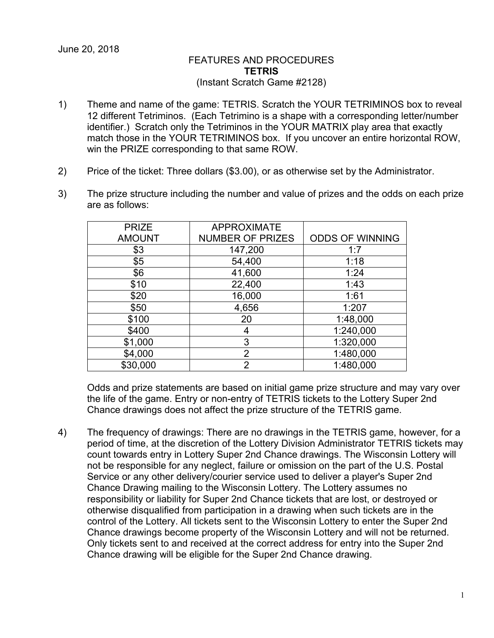## FEATURES AND PROCEDURES **TETRIS** (Instant Scratch Game #2128)

- 1) Theme and name of the game: TETRIS. Scratch the YOUR TETRIMINOS box to reveal 12 different Tetriminos. (Each Tetrimino is a shape with a corresponding letter/number identifier.) Scratch only the Tetriminos in the YOUR MATRIX play area that exactly match those in the YOUR TETRIMINOS box. If you uncover an entire horizontal ROW, win the PRIZE corresponding to that same ROW.
- 2) Price of the ticket: Three dollars (\$3.00), or as otherwise set by the Administrator.
- 3) The prize structure including the number and value of prizes and the odds on each prize are as follows:

| <b>PRIZE</b>  | <b>APPROXIMATE</b>      |                        |
|---------------|-------------------------|------------------------|
| <b>AMOUNT</b> | <b>NUMBER OF PRIZES</b> | <b>ODDS OF WINNING</b> |
| \$3           | 147,200                 | 1:7                    |
| \$5           | 54,400                  | 1:18                   |
| \$6           | 41,600                  | 1:24                   |
| \$10          | 22,400                  | 1:43                   |
| \$20          | 16,000                  | 1:61                   |
| \$50          | 4,656                   | 1:207                  |
| \$100         | 20                      | 1:48,000               |
| \$400         | 4                       | 1:240,000              |
| \$1,000       | 3                       | 1:320,000              |
| \$4,000       | $\overline{2}$          | 1:480,000              |
| \$30,000      | $\overline{2}$          | 1:480,000              |

Odds and prize statements are based on initial game prize structure and may vary over the life of the game. Entry or non-entry of TETRIS tickets to the Lottery Super 2nd Chance drawings does not affect the prize structure of the TETRIS game.

4) The frequency of drawings: There are no drawings in the TETRIS game, however, for a period of time, at the discretion of the Lottery Division Administrator TETRIS tickets may count towards entry in Lottery Super 2nd Chance drawings. The Wisconsin Lottery will not be responsible for any neglect, failure or omission on the part of the U.S. Postal Service or any other delivery/courier service used to deliver a player's Super 2nd Chance Drawing mailing to the Wisconsin Lottery. The Lottery assumes no responsibility or liability for Super 2nd Chance tickets that are lost, or destroyed or otherwise disqualified from participation in a drawing when such tickets are in the control of the Lottery. All tickets sent to the Wisconsin Lottery to enter the Super 2nd Chance drawings become property of the Wisconsin Lottery and will not be returned. Only tickets sent to and received at the correct address for entry into the Super 2nd Chance drawing will be eligible for the Super 2nd Chance drawing.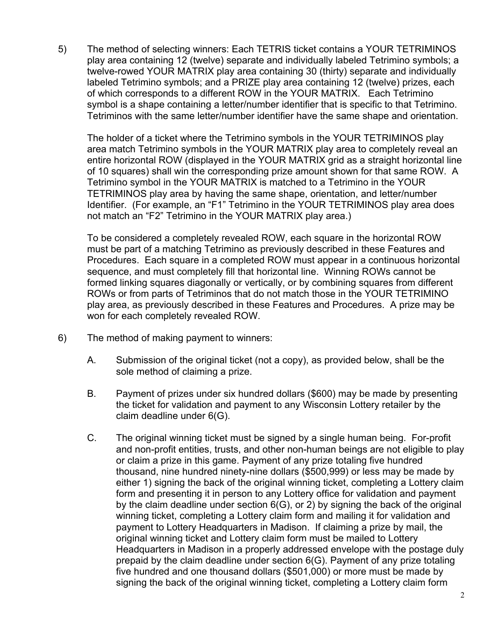5) The method of selecting winners: Each TETRIS ticket contains a YOUR TETRIMINOS play area containing 12 (twelve) separate and individually labeled Tetrimino symbols; a twelve-rowed YOUR MATRIX play area containing 30 (thirty) separate and individually labeled Tetrimino symbols; and a PRIZE play area containing 12 (twelve) prizes, each of which corresponds to a different ROW in the YOUR MATRIX. Each Tetrimino symbol is a shape containing a letter/number identifier that is specific to that Tetrimino. Tetriminos with the same letter/number identifier have the same shape and orientation.

The holder of a ticket where the Tetrimino symbols in the YOUR TETRIMINOS play area match Tetrimino symbols in the YOUR MATRIX play area to completely reveal an entire horizontal ROW (displayed in the YOUR MATRIX grid as a straight horizontal line of 10 squares) shall win the corresponding prize amount shown for that same ROW. A Tetrimino symbol in the YOUR MATRIX is matched to a Tetrimino in the YOUR TETRIMINOS play area by having the same shape, orientation, and letter/number Identifier. (For example, an "F1" Tetrimino in the YOUR TETRIMINOS play area does not match an "F2" Tetrimino in the YOUR MATRIX play area.)

To be considered a completely revealed ROW, each square in the horizontal ROW must be part of a matching Tetrimino as previously described in these Features and Procedures. Each square in a completed ROW must appear in a continuous horizontal sequence, and must completely fill that horizontal line. Winning ROWs cannot be formed linking squares diagonally or vertically, or by combining squares from different ROWs or from parts of Tetriminos that do not match those in the YOUR TETRIMINO play area, as previously described in these Features and Procedures. A prize may be won for each completely revealed ROW.

- 6) The method of making payment to winners:
	- A. Submission of the original ticket (not a copy), as provided below, shall be the sole method of claiming a prize.
	- B. Payment of prizes under six hundred dollars (\$600) may be made by presenting the ticket for validation and payment to any Wisconsin Lottery retailer by the claim deadline under 6(G).
	- C. The original winning ticket must be signed by a single human being. For-profit and non-profit entities, trusts, and other non-human beings are not eligible to play or claim a prize in this game. Payment of any prize totaling five hundred thousand, nine hundred ninety-nine dollars (\$500,999) or less may be made by either 1) signing the back of the original winning ticket, completing a Lottery claim form and presenting it in person to any Lottery office for validation and payment by the claim deadline under section 6(G), or 2) by signing the back of the original winning ticket, completing a Lottery claim form and mailing it for validation and payment to Lottery Headquarters in Madison. If claiming a prize by mail, the original winning ticket and Lottery claim form must be mailed to Lottery Headquarters in Madison in a properly addressed envelope with the postage duly prepaid by the claim deadline under section 6(G). Payment of any prize totaling five hundred and one thousand dollars (\$501,000) or more must be made by signing the back of the original winning ticket, completing a Lottery claim form